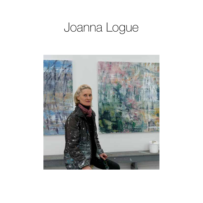## Joanna Logue

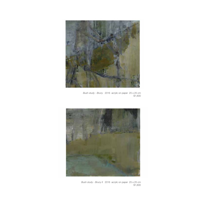

*Bush study - Bruny* 2016 acrylic on paper 25 x 25 cm \$1,600



*Bush study - Bruny II* 2016 acrylic on paper 25 x 25 cm \$1,600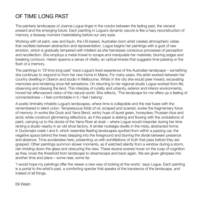## OF TIME LONG PAST

The painterly landscapes of Joanna Logue linger in the cracks between the fading past, the visceral present and the emerging future. Each painting in Logue's dynamic oeuvre is like a hazy reconstruction of memory, a faraway moment materialising before our very eyes.

Working with oil paint, wax and liquin, the US-based, Australian-born artist creates atmospheric vistas that oscillate between abstraction and representation. Logue begins her paintings with a gust of raw emotion, which is gradually tempered with intellect as she harnesses conscious processes of perception and recollection. She employs a metal trowel to scrape and manipulate her materials, blurring edges and breaking contours. Herein spawns a sense of vitality; an optical kinesis that suggests time passing or the flush of a memory.

The paintings in 'Of time long past' trace Logue's lived experience of the Australian landscape – something she continues to respond to from her new home in Maine. For many years, the artist worked between her country dwelling in Oberon and studio in Melbourne. Whilst in the city she would peer inward, excavating memories and rendering once-felt sensations. On returning to her regional studio Logue worked from life, observing and obeying the land. This interplay of rurality and urbanity, exterior and interior environments, honed her effervescent vision of the natural world. She reflects, 'The landscape for me offers up a feeling of connectedness – I feel comfortable in it; I feel I belong'.

A poetic liminality inhabits Logue's landscapes, where time is collapsible and the real fuses with the remembered in silent union. Tempestuous folds of oil, scraped and scarred, evoke the fragmentary force of memory. In works like Dock and Yarra Bend, wintry hues of laurel green, honeydew, Prussian blue and arctic white construct glimmering reflections, as if the paper is ebbing and flowing with the undulations of paint, carrying us to the docks of the Yarra River at dusk – where Logue would meander during her time renting a studio nearby in an old shoe factory. A similar nostalgia dwells in the misty, abstracted forms in Duckmaloi creek I and II, which resemble fleeting landscapes spotted from within a passing car, the negative space behind the trees stepping into the foreground and blurring the divide between presence and absence. Time accelerates here, presenting us with scintillations of truth that pass before they are grasped. Other paintings summon slower moments, as if watched silently from a window during a storm, rain trickling down the glass and obscuring the view. These elusive scenes hover on the cusp of cognition as they cross the threshold from landscape to dreamscape and back again. We are given glimpses into another time and place – some near, some far.

'I would hope my paintings offer the viewer a new way of looking at the world,' says Logue. Each painting is a portal to the artist's past, a comforting specter that speaks of the transience of the landscape, and indeed of all things.

Elli Walsh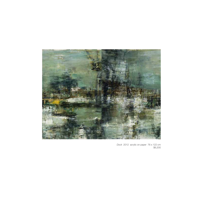

*Dock* 2012 acrylic on paper 76 x 122 cm \$6,200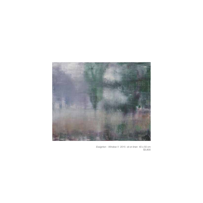

*Essignton - Window V* 2015 oil on linen 40 x 50 cm \$3,800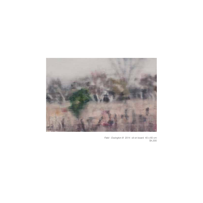

*Field - Essington III* 2014 oil on board 40 x 60 cm \$4,300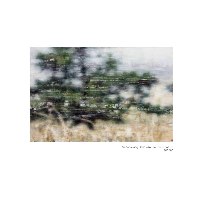

*Conifer - Hartley* 2008 oil on linen 112 x 168 cm \$16,000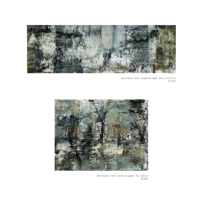

*Yarra bend I* 2012 acrylic on paper 45.5 x 151.5 cm \$7,200



*Yarra bend II* 2012 acrylic on paper 76 x 100 cm \$5,800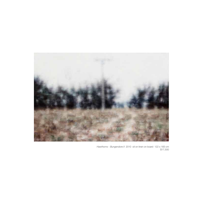

*Hawthorns - Bungendore II* 2010 oil on linen on board 122 x 183 cm \$17,500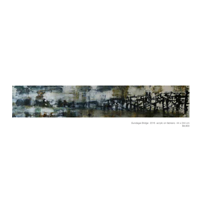

*Gundagai Bridge* 2016 acrylic on fabriano 44 x 244 cm \$9,900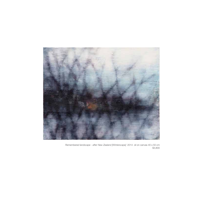

*Remembered landscape - after New Zealand [Winterscape]* 2014 oil on canvas 40 x 50 cm \$3,800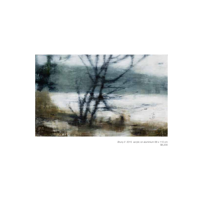

*Bruny II* 2015 acrylic on aluminium 68 x 110 cm \$6,200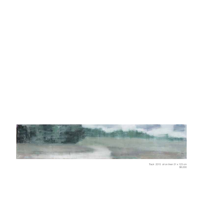

*Track* 2015 oil on linen 31 x 123 cm \$6,000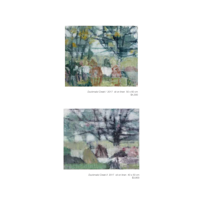

*Duckmaloi Creek I* 2017 oil on linen 50 x 60 cm \$4,300



*Duckmaloi Creek II* 2017 oil on linen 40 x 50 cm \$3,800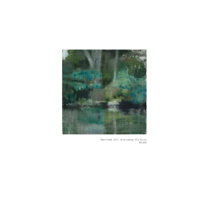

*Merri Creek* 2017 oil on canvas 50 x 50 cm \$4,300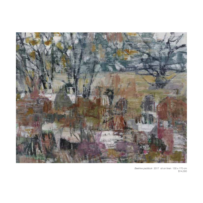

*Beehive paddock* 2017 oil on linen 130 x 170 cm \$14,000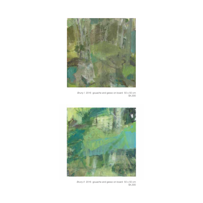

*Bruny I* 2016 gouache and gesso on board 50 x 50 cm  $$4,300$ 



*Bruny II* 2016 gouache and gesso on board 50 x 50 cm \$4,300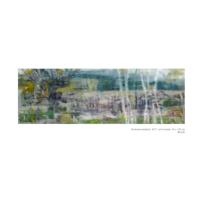

*Ducknest paddock* 2017 oil on board 40 x 120 cm \$8,200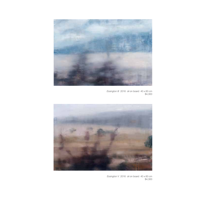

*Essington III* 2016 oil on board 40 x 60 cm \$4,300



*Essington V* 2016 oil on board 40 x 60 cm \$4,300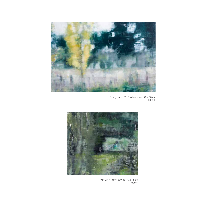

*Essington VI* 2016 oil on board 40 x 60 cm \$4,300



*Field* 2017 oil on canvas 40 x 45 cm \$3,800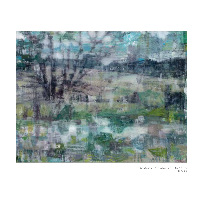

*Heartland III* 2017 oil on linen 130 x 170 cm \$14,000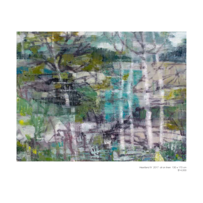

*Heartland IV* 2017 oil on linen 130 x 170 cm \$14,000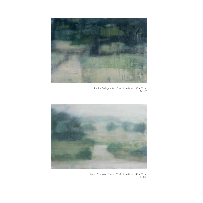

*Track - Essington IV* 2016 oil on board 40 x 60 cm \$4,300



*Track - Essington Forest* 2016 oil on board 40 x 60 cm \$4,300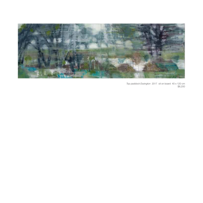

*Top paddock Essington* 2017 oil on board 40 x 120 cm \$8,200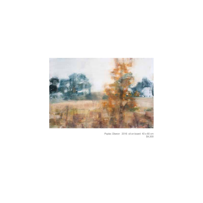

*Poplar, Oberon* 2016 oil on board 40 x 60 cm  $$4,300$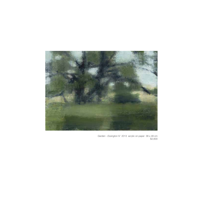

*Garden - Essington IV* 2013 acrylic on paper 38 x 48 cm \$2,600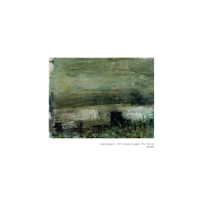

*Lake George II* 2012 acrylic on paper 76 x 100 cm \$5,800